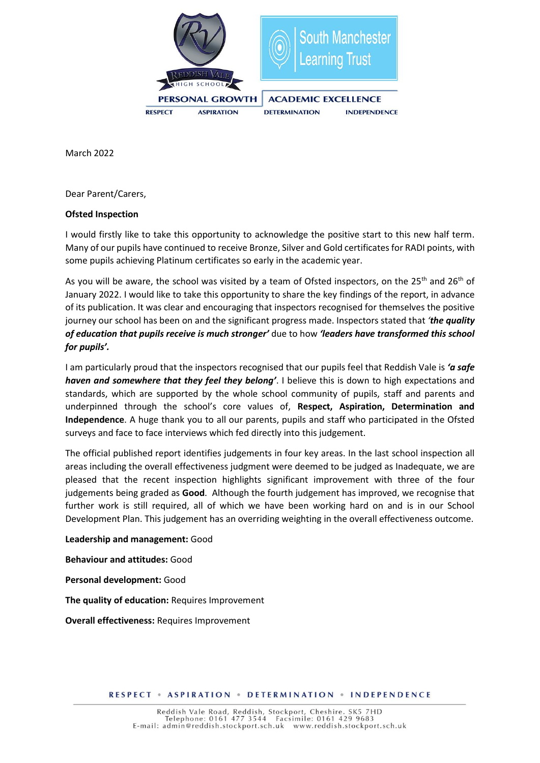

March 2022

Dear Parent/Carers,

## **Ofsted Inspection**

I would firstly like to take this opportunity to acknowledge the positive start to this new half term. Many of our pupils have continued to receive Bronze, Silver and Gold certificates for RADI points, with some pupils achieving Platinum certificates so early in the academic year.

As you will be aware, the school was visited by a team of Ofsted inspectors, on the 25<sup>th</sup> and 26<sup>th</sup> of January 2022. I would like to take this opportunity to share the key findings of the report, in advance of its publication. It was clear and encouraging that inspectors recognised for themselves the positive journey our school has been on and the significant progress made. Inspectors stated that *'the quality of education that pupils receive is much stronger'* due to how *'leaders have transformed this school for pupils'.* 

I am particularly proud that the inspectors recognised that our pupils feel that Reddish Vale is *'a safe haven and somewhere that they feel they belong'*. I believe this is down to high expectations and standards, which are supported by the whole school community of pupils, staff and parents and underpinned through the school's core values of, **Respect, Aspiration, Determination and Independence**. A huge thank you to all our parents, pupils and staff who participated in the Ofsted surveys and face to face interviews which fed directly into this judgement.

The official published report identifies judgements in four key areas. In the last school inspection all areas including the overall effectiveness judgment were deemed to be judged as Inadequate, we are pleased that the recent inspection highlights significant improvement with three of the four judgements being graded as **Good**. Although the fourth judgement has improved, we recognise that further work is still required, all of which we have been working hard on and is in our School Development Plan. This judgement has an overriding weighting in the overall effectiveness outcome.

## **Leadership and management:** Good

**Behaviour and attitudes:** Good

**Personal development:** Good

**The quality of education:** Requires Improvement

**Overall effectiveness:** Requires Improvement

**RESPECT . ASPIRATION . DETERMINATION . INDEPENDENCE**